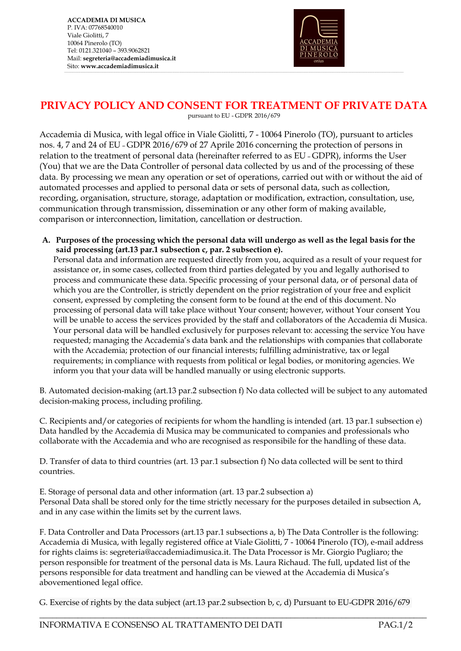**ACCADEMIA DI MUSICA** P. IVA: 07768540010 Viale Giolitti, 7 10064 Pinerolo (TO) Tel: 0121.321040 – 393.9062821 Mail: **segreteria@accademiadimusica.it** Sito: **[www.accademiadimusica.it](http://www.accademiadimusica.it/)**



## **PRIVACY POLICY AND CONSENT FOR TREATMENT OF PRIVATE DATA**

,一个人的人都是不是,我们的人都是不是,我们的人都是不是,我们的人都是不是,我们的人都是不是,我们的人都是不是,我们的人都是不是,我们的人都是不是,我们的人都是不

pursuant to EU - GDPR 2016/679

Accademia di Musica, with legal office in Viale Giolitti, 7 - 10064 Pinerolo (TO), pursuant to articles nos. 4, 7 and 24 of EU – GDPR 2016/679 of 27 Aprile 2016 concerning the protection of persons in relation to the treatment of personal data (hereinafter referred to as EU – GDPR), informs the User (You) that we are the Data Controller of personal data collected by us and of the processing of these data. By processing we mean any operation or set of operations, carried out with or without the aid of automated processes and applied to personal data or sets of personal data, such as collection, recording, organisation, structure, storage, adaptation or modification, extraction, consultation, use, communication through transmission, dissemination or any other form of making available, comparison or interconnection, limitation, cancellation or destruction.

**A. Purposes of the processing which the personal data will undergo as well as the legal basis for the said processing (art.13 par.1 subsection c, par. 2 subsection e).** 

Personal data and information are requested directly from you, acquired as a result of your request for assistance or, in some cases, collected from third parties delegated by you and legally authorised to process and communicate these data. Specific processing of your personal data, or of personal data of which you are the Controller, is strictly dependent on the prior registration of your free and explicit consent, expressed by completing the consent form to be found at the end of this document. No processing of personal data will take place without Your consent; however, without Your consent You will be unable to access the services provided by the staff and collaborators of the Accademia di Musica. Your personal data will be handled exclusively for purposes relevant to: accessing the service You have requested; managing the Accademia's data bank and the relationships with companies that collaborate with the Accademia; protection of our financial interests; fulfilling administrative, tax or legal requirements; in compliance with requests from political or legal bodies, or monitoring agencies. We inform you that your data will be handled manually or using electronic supports.

B. Automated decision-making (art.13 par.2 subsection f) No data collected will be subject to any automated decision-making process, including profiling.

C. Recipients and/or categories of recipients for whom the handling is intended (art. 13 par.1 subsection e) Data handled by the Accademia di Musica may be communicated to companies and professionals who collaborate with the Accademia and who are recognised as responsibile for the handling of these data.

D. Transfer of data to third countries (art. 13 par.1 subsection f) No data collected will be sent to third countries.

E. Storage of personal data and other information (art. 13 par.2 subsection a) Personal Data shall be stored only for the time strictly necessary for the purposes detailed in subsection A, and in any case within the limits set by the current laws.

F. Data Controller and Data Processors (art.13 par.1 subsections a, b) The Data Controller is the following: Accademia di Musica, with legally registered office at Viale Giolitti, 7 - 10064 Pinerolo (TO), e-mail address for rights claims is: segreteria@accademiadimusica.it. The Data Processor is Mr. Giorgio Pugliaro; the person responsible for treatment of the personal data is Ms. Laura Richaud. The full, updated list of the persons responsible for data treatment and handling can be viewed at the Accademia di Musica's abovementioned legal office.

G. Exercise of rights by the data subject (art.13 par.2 subsection b, c, d) Pursuant to EU-GDPR 2016/679